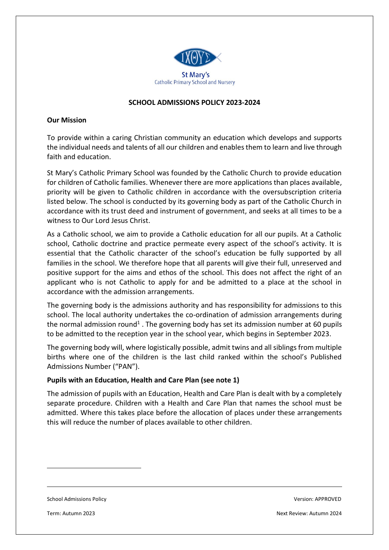

## **SCHOOL ADMISSIONS POLICY 2023-2024**

#### **Our Mission**

To provide within a caring Christian community an education which develops and supports the individual needs and talents of all our children and enables them to learn and live through faith and education.

St Mary's Catholic Primary School was founded by the Catholic Church to provide education for children of Catholic families. Whenever there are more applications than places available, priority will be given to Catholic children in accordance with the oversubscription criteria listed below. The school is conducted by its governing body as part of the Catholic Church in accordance with its trust deed and instrument of government, and seeks at all times to be a witness to Our Lord Jesus Christ.

As a Catholic school, we aim to provide a Catholic education for all our pupils. At a Catholic school, Catholic doctrine and practice permeate every aspect of the school's activity. It is essential that the Catholic character of the school's education be fully supported by all families in the school. We therefore hope that all parents will give their full, unreserved and positive support for the aims and ethos of the school. This does not affect the right of an applicant who is not Catholic to apply for and be admitted to a place at the school in accordance with the admission arrangements.

The governing body is the admissions authority and has responsibility for admissions to this school. The local authority undertakes the co-ordination of admission arrangements during the normal admission round<sup>1</sup>. The governing body has set its admission number at 60 pupils to be admitted to the reception year in the school year, which begins in September 2023.

The governing body will, where logistically possible, admit twins and all siblings from multiple births where one of the children is the last child ranked within the school's Published Admissions Number ("PAN").

#### **Pupils with an Education, Health and Care Plan (see note 1)**

The admission of pupils with an Education, Health and Care Plan is dealt with by a completely separate procedure. Children with a Health and Care Plan that names the school must be admitted. Where this takes place before the allocation of places under these arrangements this will reduce the number of places available to other children.

School Admissions Policy Version: APPROVED

**.**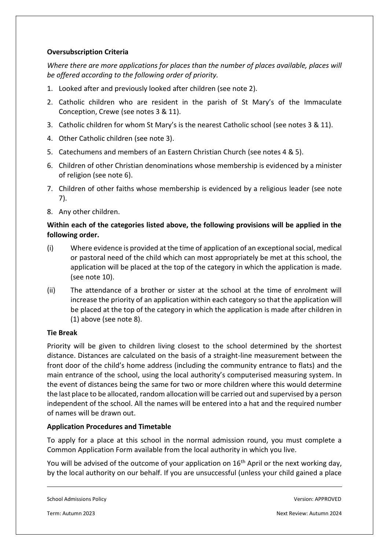## **Oversubscription Criteria**

*Where there are more applications for places than the number of places available, places will be offered according to the following order of priority.*

- 1. Looked after and previously looked after children (see note 2).
- 2. Catholic children who are resident in the parish of St Mary's of the Immaculate Conception, Crewe (see notes 3 & 11).
- 3. Catholic children for whom St Mary's is the nearest Catholic school (see notes 3 & 11).
- 4. Other Catholic children (see note 3).
- 5. Catechumens and members of an Eastern Christian Church (see notes 4 & 5).
- 6. Children of other Christian denominations whose membership is evidenced by a minister of religion (see note 6).
- 7. Children of other faiths whose membership is evidenced by a religious leader (see note 7).
- 8. Any other children.

## **Within each of the categories listed above, the following provisions will be applied in the following order.**

- (i) Where evidence is provided at the time of application of an exceptional social, medical or pastoral need of the child which can most appropriately be met at this school, the application will be placed at the top of the category in which the application is made. (see note 10).
- (ii) The attendance of a brother or sister at the school at the time of enrolment will increase the priority of an application within each category so that the application will be placed at the top of the category in which the application is made after children in (1) above (see note 8).

## **Tie Break**

Priority will be given to children living closest to the school determined by the shortest distance. Distances are calculated on the basis of a straight-line measurement between the front door of the child's home address (including the community entrance to flats) and the main entrance of the school, using the local authority's computerised measuring system. In the event of distances being the same for two or more children where this would determine the last place to be allocated, random allocation will be carried out and supervised by a person independent of the school. All the names will be entered into a hat and the required number of names will be drawn out.

## **Application Procedures and Timetable**

To apply for a place at this school in the normal admission round, you must complete a Common Application Form available from the local authority in which you live.

You will be advised of the outcome of your application on 16<sup>th</sup> April or the next working day, by the local authority on our behalf. If you are unsuccessful (unless your child gained a place

School Admissions Policy Version: APPROVED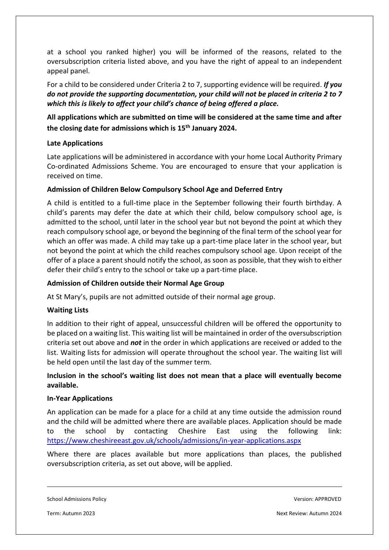at a school you ranked higher) you will be informed of the reasons, related to the oversubscription criteria listed above, and you have the right of appeal to an independent appeal panel.

For a child to be considered under Criteria 2 to 7, supporting evidence will be required. *If you do not provide the supporting documentation, your child will not be placed in criteria 2 to 7 which this is likely to affect your child's chance of being offered a place.*

# **All applications which are submitted on time will be considered at the same time and after the closing date for admissions which is 15th January 2024.**

## **Late Applications**

Late applications will be administered in accordance with your home Local Authority Primary Co-ordinated Admissions Scheme. You are encouraged to ensure that your application is received on time.

## **Admission of Children Below Compulsory School Age and Deferred Entry**

A child is entitled to a full-time place in the September following their fourth birthday. A child's parents may defer the date at which their child, below compulsory school age, is admitted to the school, until later in the school year but not beyond the point at which they reach compulsory school age, or beyond the beginning of the final term of the school year for which an offer was made. A child may take up a part-time place later in the school year, but not beyond the point at which the child reaches compulsory school age. Upon receipt of the offer of a place a parent should notify the school, as soon as possible, that they wish to either defer their child's entry to the school or take up a part-time place.

## **Admission of Children outside their Normal Age Group**

At St Mary's, pupils are not admitted outside of their normal age group.

## **Waiting Lists**

In addition to their right of appeal, unsuccessful children will be offered the opportunity to be placed on a waiting list. This waiting list will be maintained in order of the oversubscription criteria set out above and *not* in the order in which applications are received or added to the list. Waiting lists for admission will operate throughout the school year. The waiting list will be held open until the last day of the summer term.

## **Inclusion in the school's waiting list does not mean that a place will eventually become available.**

#### **In-Year Applications**

An application can be made for a place for a child at any time outside the admission round and the child will be admitted where there are available places. Application should be made to the school by contacting Cheshire East using the following link: <https://www.cheshireeast.gov.uk/schools/admissions/in-year-applications.aspx>

Where there are places available but more applications than places, the published oversubscription criteria, as set out above, will be applied.

School Admissions Policy Version: APPROVED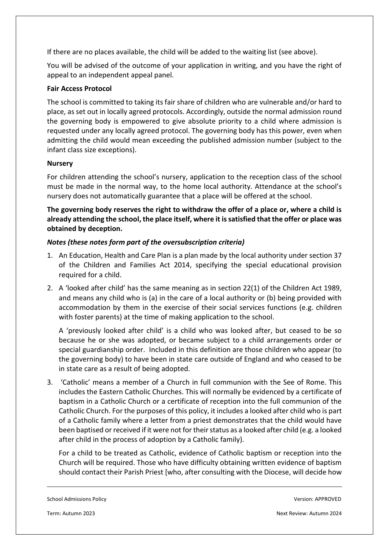If there are no places available, the child will be added to the waiting list (see above).

You will be advised of the outcome of your application in writing, and you have the right of appeal to an independent appeal panel.

## **Fair Access Protocol**

The school is committed to taking its fair share of children who are vulnerable and/or hard to place, as set out in locally agreed protocols. Accordingly, outside the normal admission round the governing body is empowered to give absolute priority to a child where admission is requested under any locally agreed protocol. The governing body has this power, even when admitting the child would mean exceeding the published admission number (subject to the infant class size exceptions).

## **Nursery**

For children attending the school's nursery, application to the reception class of the school must be made in the normal way, to the home local authority. Attendance at the school's nursery does not automatically guarantee that a place will be offered at the school.

**The governing body reserves the right to withdraw the offer of a place or, where a child is already attending the school, the place itself, where it is satisfied that the offer or place was obtained by deception.**

# *Notes (these notes form part of the oversubscription criteria)*

- 1. An Education, Health and Care Plan is a plan made by the local authority under section 37 of the Children and Families Act 2014, specifying the special educational provision required for a child.
- 2. A 'looked after child' has the same meaning as in section 22(1) of the Children Act 1989, and means any child who is (a) in the care of a local authority or (b) being provided with accommodation by them in the exercise of their social services functions (e.g. children with foster parents) at the time of making application to the school.

A 'previously looked after child' is a child who was looked after, but ceased to be so because he or she was adopted, or became subject to a child arrangements order or special guardianship order. Included in this definition are those children who appear (to the governing body) to have been in state care outside of England and who ceased to be in state care as a result of being adopted.

3. 'Catholic' means a member of a Church in full communion with the See of Rome. This includes the Eastern Catholic Churches. This will normally be evidenced by a certificate of baptism in a Catholic Church or a certificate of reception into the full communion of the Catholic Church. For the purposes of this policy, it includes a looked after child who is part of a Catholic family where a letter from a priest demonstrates that the child would have been baptised or received if it were not for their status as a looked after child (e.g. a looked after child in the process of adoption by a Catholic family).

For a child to be treated as Catholic, evidence of Catholic baptism or reception into the Church will be required. Those who have difficulty obtaining written evidence of baptism should contact their Parish Priest [who, after consulting with the Diocese, will decide how

School Admissions Policy Version: APPROVED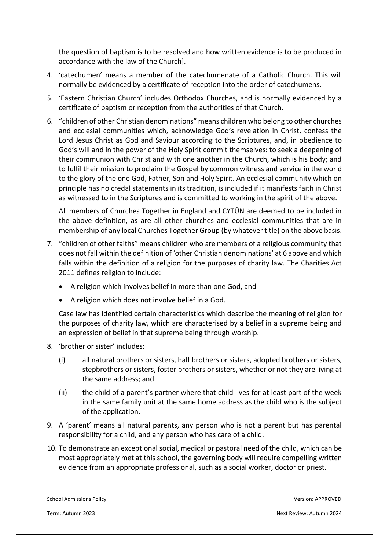the question of baptism is to be resolved and how written evidence is to be produced in accordance with the law of the Church].

- 4. 'catechumen' means a member of the catechumenate of a Catholic Church. This will normally be evidenced by a certificate of reception into the order of catechumens.
- 5. 'Eastern Christian Church' includes Orthodox Churches, and is normally evidenced by a certificate of baptism or reception from the authorities of that Church.
- 6. "children of other Christian denominations" means children who belong to other churches and ecclesial communities which, acknowledge God's revelation in Christ, confess the Lord Jesus Christ as God and Saviour according to the Scriptures, and, in obedience to God's will and in the power of the Holy Spirit commit themselves: to seek a deepening of their communion with Christ and with one another in the Church, which is his body; and to fulfil their mission to proclaim the Gospel by common witness and service in the world to the glory of the one God, Father, Son and Holy Spirit. An ecclesial community which on principle has no credal statements in its tradition, is included if it manifests faith in Christ as witnessed to in the Scriptures and is committed to working in the spirit of the above.

All members of Churches Together in England and CYTÛN are deemed to be included in the above definition, as are all other churches and ecclesial communities that are in membership of any local Churches Together Group (by whatever title) on the above basis.

- 7. "children of other faiths" means children who are members of a religious community that does not fall within the definition of 'other Christian denominations' at 6 above and which falls within the definition of a religion for the purposes of charity law. The Charities Act 2011 defines religion to include:
	- A religion which involves belief in more than one God, and
	- A religion which does not involve belief in a God.

Case law has identified certain characteristics which describe the meaning of religion for the purposes of charity law, which are characterised by a belief in a supreme being and an expression of belief in that supreme being through worship.

- 8. 'brother or sister' includes:
	- (i) all natural brothers or sisters, half brothers or sisters, adopted brothers or sisters, stepbrothers or sisters, foster brothers or sisters, whether or not they are living at the same address; and
	- (ii) the child of a parent's partner where that child lives for at least part of the week in the same family unit at the same home address as the child who is the subject of the application.
- 9. A 'parent' means all natural parents, any person who is not a parent but has parental responsibility for a child, and any person who has care of a child.
- 10. To demonstrate an exceptional social, medical or pastoral need of the child, which can be most appropriately met at this school, the governing body will require compelling written evidence from an appropriate professional, such as a social worker, doctor or priest.

School Admissions Policy Version: APPROVED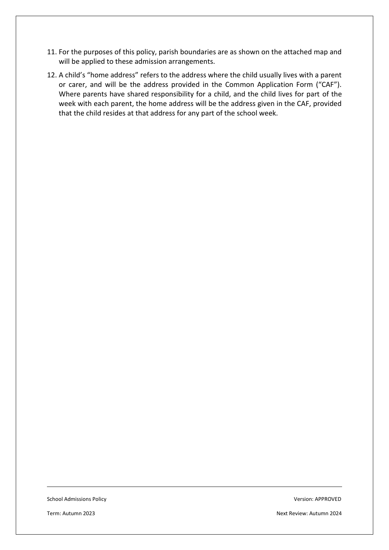- 11. For the purposes of this policy, parish boundaries are as shown on the attached map and will be applied to these admission arrangements.
- 12. A child's "home address" refers to the address where the child usually lives with a parent or carer, and will be the address provided in the Common Application Form ("CAF"). Where parents have shared responsibility for a child, and the child lives for part of the week with each parent, the home address will be the address given in the CAF, provided that the child resides at that address for any part of the school week.

School Admissions Policy Version: APPROVED